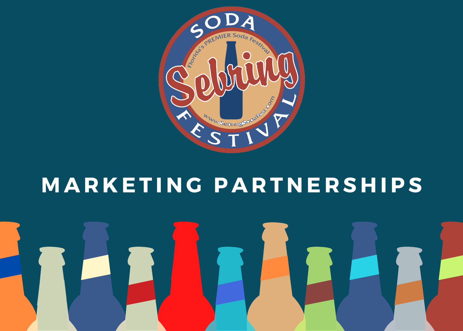

#### **M A R K E T I N G P A R T N E R S H IPS**

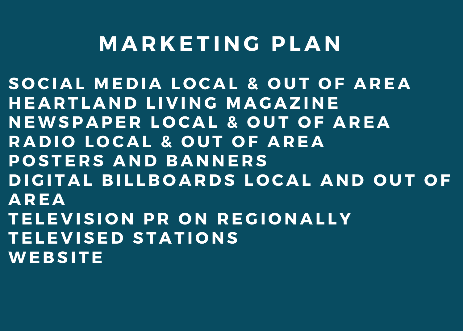#### **M A R K E T I N G PL A N**

SOCIAL MEDIA LOCAL & OUT OF AREA **H E A R T L A N D L I V I N G M A G A Z I N E N EWSP A PE R L O C A L & O U T O F A R E A R A D I O L O C A L & O U T O F A R E A P O S T E R S A N D B A N N E R S DIGITAL BILLBOARDS LOCAL AND OUT OF A R E A T E L E V I S I O N P R O N R E G I O N A L L Y T E L E V I S E D S T A T I O N S WE B S I T E**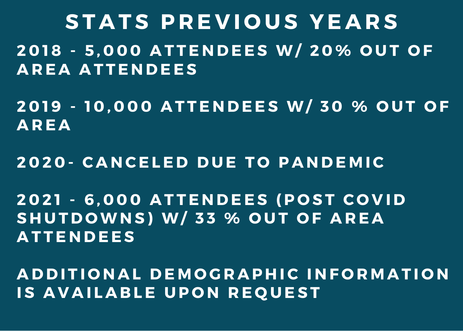**S T A T S P R E V I O U S YE A R S** 2018 - 5.000 ATTENDEES W/ 20% OUT OF **A R E A A T T E N D E E S**

2019 - 10.000 ATTENDEES W/30 % OUT OF **A R E A**

**2 0 2 0 - C A N CE L E D D U E T O P A N D E M IC**

2021 - 6.000 ATTENDEES (POST COVID **S H U T D OWN S ) W/ 3 3 % O U T O F A R E A A T T E N D E E S**

ADDITIONAL DEMOGRAPHIC INFORMATION **IS AVAILABLE UPON REQUEST**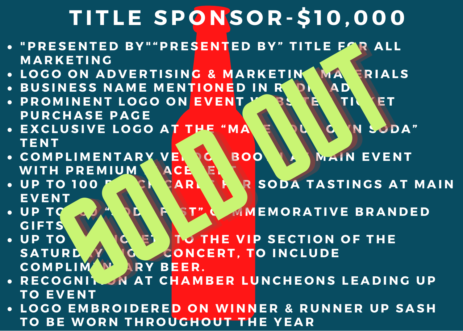### **T I T L E SP O N S O R - \$ 1 0 , 0 0 0**

- "PRESENTED BY""PRESENTED BY" TITLE FAR ALL **M A R K E T I N G**
- . LOGO ON ADVERTISING & MARKETING MAN FRIALS
- BUSINESS NAME MENTIONED IN RODA AD
- . PROMINENT LOGO ON EVENTLY BE TENTINGET **P U R C H A S E P A G E**
- . EXCLUSIVE LOGO AT THE "MA ENDLO N SODA" **T E N T**
- SCOMPLIMENTARY VE BOOK BOOK WAIN EVENT **WITH PREMIUM**
- . UP TO 100 F. C. CARL T. R SODA TASTINGS AT MAIN **E V E N T**
- UP TO A A A DE LA STA AMEMORATIVE BRANDED **G I F T S**
- UP TO YOURGET TO THE VIP SECTION OF THE SATURE Y G CONCERT. TO INCLUDE **C O M PL I M E N T A R Y B E E R .** ETING ROOM EVENT AND RESERVED BY TITLE FAR RIALS<br>
SOLD ADVERTISING & MARKETING AD RIALS<br>
INENT LOGO ON EVENT AD TITLE TO THE THE THE THREE PACE<br>
SIVE LOGO AT THE THE THE SOLD MEMORATIVE BRANDED<br>
PREMIUM ACE RESERVED ON TAS SENTED BY"-PRESENTED BY" TITLE FAR ALL SENTED BY" "PRESENTED BY" TITLE FOR ALL<br>
NESS NAME MENTIONED IN RESENTED ALL<br>
NESS NAME MENTIONED IN RESENTANCE PRESENTED IN RESENTANCE OF THE "MANUSCRIPS" OF THE "MANUSCRIPS" OF THE PREMIUM ACCEPT TO INCLUDE PREMIUM ACCEP
- RECOGNIK AT CHAMBER LUNCHEONS LEADING UP **T O E V E N T**
- LOGO EMBROIDERED ON WINNER & RUNNER UP SASH **T O B E WO R N T H R O U G H O U T T H E YE A R**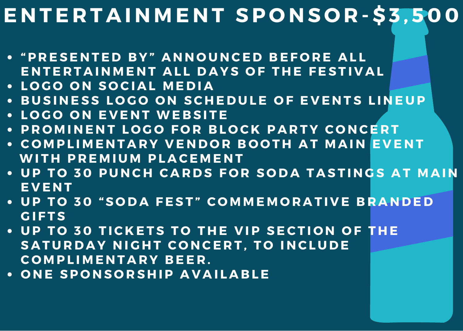#### ENTERTAINMENT SPONSOR-\$3,500

- "PRESENTED BY" ANNOUNCED BEFORE ALL ENTERTAINMENT ALL DAYS OF THE FESTIVAL
- **L O G O O N S O CI A L M E D I A**
- BUSINESS LOGO ON SCHEDULE OF EVENTS LINEUP
- **L O G O O N E V E N T WE B S I T E**

**O N E SP O N S O R S H IP A V A I L A B L E**

- PROMINENT LOGO FOR BLOCK PARTY CONCERT
- COMPLIMENTARY VENDOR BOOTH AT MAIN EVENT **WITH PREMIUM PLACEMENT**
- UP TO 30 PUNCH CARDS FOR SODA TASTINGS AT MAIN **E V E N T**
- UP TO 30 "SODA FEST" COMMEMORATIVE BRANDED **G I F T S**
- 
- UP TO 30 TICKETS TO THE VIP SECTION OF THE SATURDAY NIGHT CONCERT, TO INCLUDE **C O M PL I M E N T A R Y B E E R .**
- 
-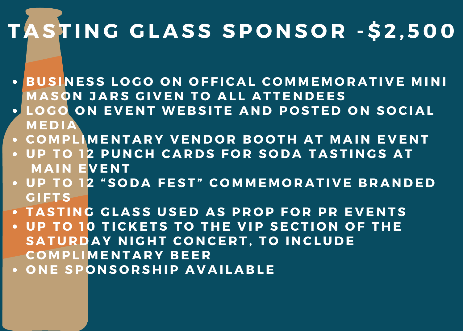## TASTING GLASS SPONSOR - \$2,500

- BUSINESS LOGO ON OFFICAL COMMEMORATIVE MINI **MASON JARS GIVEN TO ALL ATTENDEES**
- LOGO ON EVENT WEBSITE AND POSTED ON SOCIAL **M E D I A**
- COMPLIMENTARY VENDOR BOOTH AT MAIN EVENT
- UP TO 12 PUNCH CARDS FOR SODA TASTINGS AT **MAIN EVENT**
- UP TO 12 "SODA FEST" COMMEMORATIVE BRANDED **G I F T S**
- TASTING GLASS USED AS PROP FOR PR EVENTS
- UP TO 10 TICKETS TO THE VIP SECTION OF THE SATURDAY NIGHT CONCERT. TO INCLUDE **C O M PL I M E N T A R Y B E E R**
- **O N E SP O N S O R S H IP A V A I L A B L E**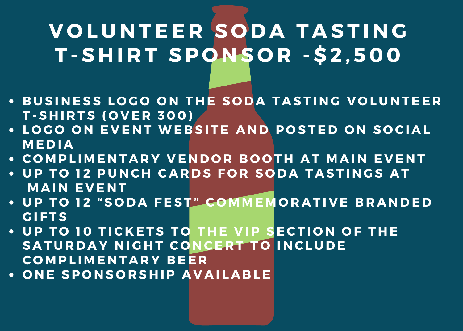#### **V O L U N T E E R S O D A T A S T I N G T - S H I R T SP O N S O R - \$ 2 , 5 0 0**

- . BUSINESS LOGO ON THE SODA TASTING VOLUNTEER **T - S H I R T S ( O V E R 3 0 0 )**
- LOGO ON EVENT WEBSITE AND POSTED ON SOCIAL **M E D I A**
- COMPLIMENTARY VENDOR BOOTH AT MAIN EVENT
- UP TO 12 PUNCH CARDS FOR SODA TASTINGS AT **M A I N E V E N T**
- UP TO 12 "SODA FEST" COMMEMORATIVE BRANDED **G I F T S**
- UP TO 10 TICKETS TO THE VIP SECTION OF THE SATURDAY NIGHT CONCERT TO INCLUDE **C O M PL I M E N T A R Y B E E R**
- **O N E SP O N S O R S H IP A V A I L A B L E**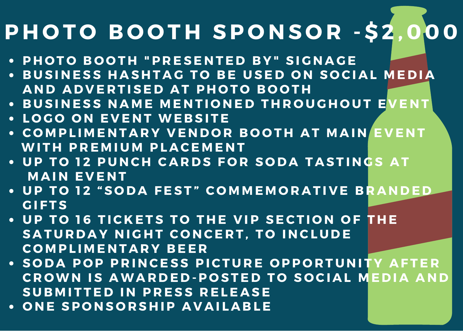### **P H O T O B O O T H SP O N S O R - \$ 2 , 0 0 0**

- PHOTO BOOTH "PRESENTED BY" SIGNAGE
- BUSINESS HASHTAG TO BE USED ON SOCIAL MEDIA **A N D A D V E R T I S E D A T P H O T O B O O T H**
- . BUSINESS NAME MENTIONED THROUGHOUT EVENT
- **L O G O O N E V E N T WE B S I T E**
- COMPLIMENTARY VENDOR BOOTH AT MAIN EVENT **WITH PREMIUM PLACEMENT**
- UP TO 12 PUNCH CARDS FOR SODA TASTINGS AT **M A I N E V E N T**
- UP TO 12 "SODA FEST" COMMEMORATIVE BRANDED **G I F T S**
- UP TO 16 TICKETS TO THE VIP SECTION OF THE SATURDAY NIGHT CONCERT. TO INCLUDE **C O M PL I M E N T A R Y B E E R**
- SODA POP PRINCESS PICTURE OPPORTUNITY AFTER **CROWN IS AWARDED-POSTED TO SOCIAL MEDIA AND**  $B$  **SUBMITTED IN PRESS RELEASE**
- **O N E SP O N S O R S H IP A V A I L A B L E**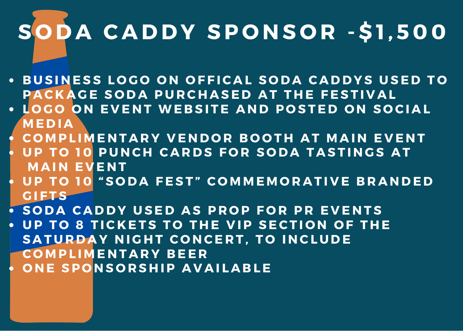# **S O D A C A D D Y SP O N S O R - \$ 1 , 5 0 0**

- BUSINESS LOGO ON OFFICAL SODA CADDYS USED TO PACKAGE SODA PURCHASED AT THE FESTIVAL
- LOGO ON EVENT WEBSITE AND POSTED ON SOCIAL **M E D I A**
- COMPLIMENTARY VENDOR BOOTH AT MAIN EVENT
- UP TO 10 PUNCH CARDS FOR SODA TASTINGS AT **M A I N E V E N T**
- UP TO 10 "SODA FEST" COMMEMORATIVE BRANDED **G I F T S**
- SODA CADDY USED AS PROP FOR PR EVENTS
- UP TO 8 TICKETS TO THE VIP SECTION OF THE **SATURDAY NIGHT CONCERT. TO INCLUDE C O M PL I M E N T A R Y B E E R O N E SP O N S O R S H IP A V A I L A B L E**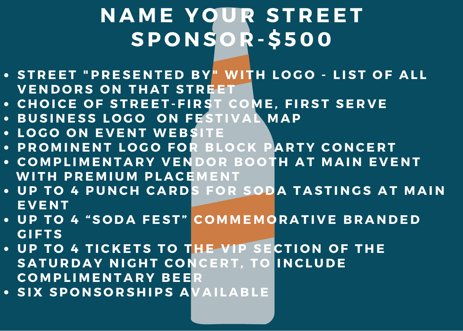#### **N A M E Y O U R S T R E E T SP O N S O R - \$ 5 0 0**

- STREET "PRESENTED BY" WITH LOGO LIST OF ALL **VENDORS ON THAT STREET**
- CHOICE OF STREET-FIRST COME, FIRST SERVE
- **B U S I N E S S L O G O O N F E S T I V A L M A P**
- **L O G O O N E V E N T WE B S I T E**
- PROMINENT LOGO FOR BLOCK PARTY CONCERT
- COMPLIMENTARY VENDOR BOOTH AT MAIN EVENT **WI T H P R E M I U M PL A CE M E N T**
- UP TO 4 PUNCH CARDS FOR SODA TASTINGS AT MAIN **E V E N T**
- UP TO 4 "SODA FEST" COMMEMORATIVE BRANDED **G I F T S**
- UP TO 4 TICKETS TO THE VIP SECTION OF THE **SATURDAY NIGHT CONCERT. TO INCLUDE C O M PL I M E N T A R Y B E E R**
- **S I X SP O N S O R S H IPS A V A I L A B L E**